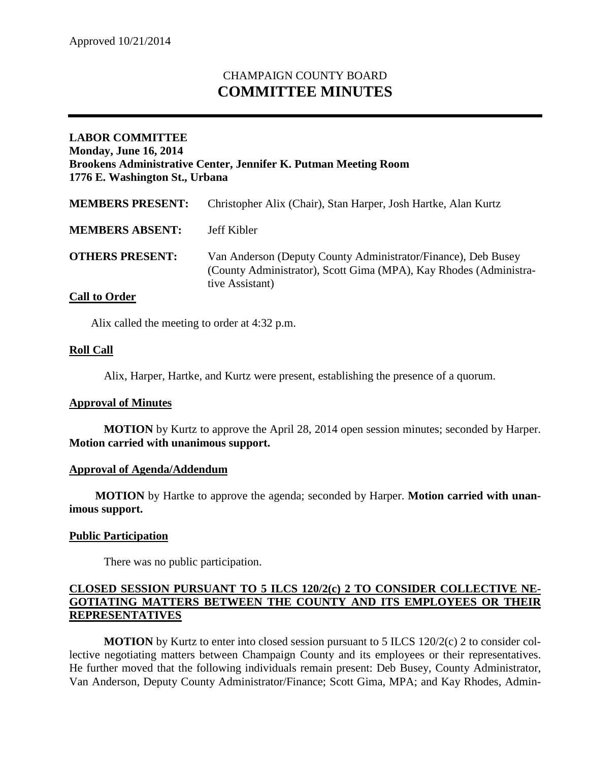# CHAMPAIGN COUNTY BOARD **COMMITTEE MINUTES**

## **LABOR COMMITTEE Monday, June 16, 2014 Brookens Administrative Center, Jennifer K. Putman Meeting Room 1776 E. Washington St., Urbana**

| <b>MEMBERS PRESENT:</b> | Christopher Alix (Chair), Stan Harper, Josh Hartke, Alan Kurtz                                                                                        |
|-------------------------|-------------------------------------------------------------------------------------------------------------------------------------------------------|
| <b>MEMBERS ABSENT:</b>  | Jeff Kibler                                                                                                                                           |
| <b>OTHERS PRESENT:</b>  | Van Anderson (Deputy County Administrator/Finance), Deb Busey<br>(County Administrator), Scott Gima (MPA), Kay Rhodes (Administra-<br>tive Assistant) |

## **Call to Order**

Alix called the meeting to order at 4:32 p.m.

### **Roll Call**

Alix, Harper, Hartke, and Kurtz were present, establishing the presence of a quorum.

#### **Approval of Minutes**

**MOTION** by Kurtz to approve the April 28, 2014 open session minutes; seconded by Harper. **Motion carried with unanimous support.**

## **Approval of Agenda/Addendum**

**MOTION** by Hartke to approve the agenda; seconded by Harper. **Motion carried with unanimous support.**

## **Public Participation**

There was no public participation.

## **CLOSED SESSION PURSUANT TO 5 ILCS 120/2(c) 2 TO CONSIDER COLLECTIVE NE-GOTIATING MATTERS BETWEEN THE COUNTY AND ITS EMPLOYEES OR THEIR REPRESENTATIVES**

**MOTION** by Kurtz to enter into closed session pursuant to 5 ILCS 120/2(c) 2 to consider collective negotiating matters between Champaign County and its employees or their representatives. He further moved that the following individuals remain present: Deb Busey, County Administrator, Van Anderson, Deputy County Administrator/Finance; Scott Gima, MPA; and Kay Rhodes, Admin